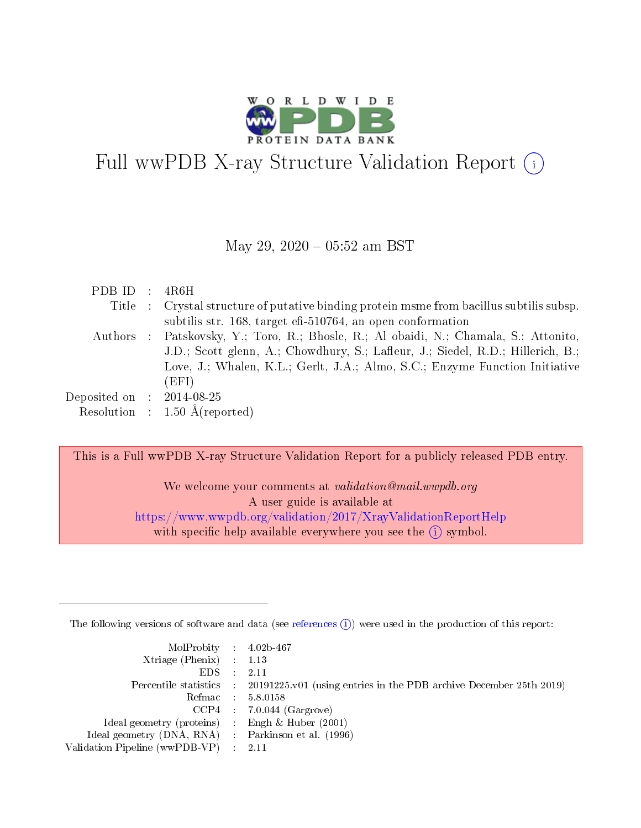

# Full wwPDB X-ray Structure Validation Report (i)

#### May 29,  $2020 - 05:52$  am BST

| PDB ID : $4R6H$             |                                                                                          |
|-----------------------------|------------------------------------------------------------------------------------------|
|                             | Title : Crystal structure of putative binding protein msme from bacillus subtilis subsp. |
|                             | subtilis str. 168, target eff-510764, an open conformation                               |
|                             | Authors : Patskovsky, Y.; Toro, R.; Bhosle, R.; Al obaidi, N.; Chamala, S.; Attonito,    |
|                             | J.D.; Scott glenn, A.; Chowdhury, S.; Lafleur, J.; Siedel, R.D.; Hillerich, B.;          |
|                             | Love, J.; Whalen, K.L.; Gerlt, J.A.; Almo, S.C.; Enzyme Function Initiative              |
|                             | (EFI)                                                                                    |
| Deposited on : $2014-08-25$ |                                                                                          |
|                             | Resolution : $1.50 \text{ Å}$ (reported)                                                 |

This is a Full wwPDB X-ray Structure Validation Report for a publicly released PDB entry.

We welcome your comments at validation@mail.wwpdb.org A user guide is available at <https://www.wwpdb.org/validation/2017/XrayValidationReportHelp> with specific help available everywhere you see the  $(i)$  symbol.

The following versions of software and data (see [references](https://www.wwpdb.org/validation/2017/XrayValidationReportHelp#references)  $(i)$ ) were used in the production of this report:

| MolProbity : 4.02b-467                             |                                                                                            |
|----------------------------------------------------|--------------------------------------------------------------------------------------------|
| $Xtriangle (Phenix)$ : 1.13                        |                                                                                            |
| EDS :                                              | 2.11                                                                                       |
|                                                    | Percentile statistics : 20191225.v01 (using entries in the PDB archive December 25th 2019) |
|                                                    | Refmac 5.8.0158                                                                            |
|                                                    | $CCP4$ 7.0.044 (Gargrove)                                                                  |
| Ideal geometry (proteins) : Engh $\&$ Huber (2001) |                                                                                            |
| Ideal geometry (DNA, RNA) Parkinson et al. (1996)  |                                                                                            |
| Validation Pipeline (wwPDB-VP) : 2.11              |                                                                                            |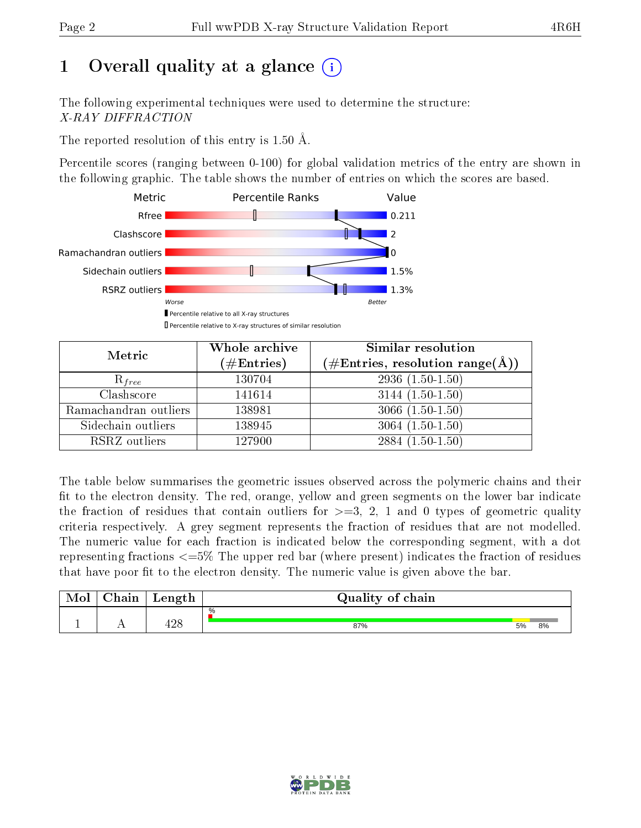# 1 [O](https://www.wwpdb.org/validation/2017/XrayValidationReportHelp#overall_quality)verall quality at a glance  $(i)$

The following experimental techniques were used to determine the structure: X-RAY DIFFRACTION

The reported resolution of this entry is 1.50 Å.

Percentile scores (ranging between 0-100) for global validation metrics of the entry are shown in the following graphic. The table shows the number of entries on which the scores are based.



| Metric                | Whole archive<br>$(\#\text{Entries})$ | Similar resolution<br>(#Entries, resolution range( $\AA$ )) |  |  |
|-----------------------|---------------------------------------|-------------------------------------------------------------|--|--|
| $R_{free}$            | 130704                                | $2936(1.50-1.50)$                                           |  |  |
| Clashscore            | 141614                                | $3144(1.50-1.50)$                                           |  |  |
| Ramachandran outliers | 138981                                | $3066(1.50-1.50)$                                           |  |  |
| Sidechain outliers    | 138945                                | $3064(1.50-1.50)$                                           |  |  |
| RSRZ outliers         | 127900                                | $2884(1.50-1.50)$                                           |  |  |

The table below summarises the geometric issues observed across the polymeric chains and their fit to the electron density. The red, orange, yellow and green segments on the lower bar indicate the fraction of residues that contain outliers for  $>=3, 2, 1$  and 0 types of geometric quality criteria respectively. A grey segment represents the fraction of residues that are not modelled. The numeric value for each fraction is indicated below the corresponding segment, with a dot representing fractions  $\epsilon=5\%$  The upper red bar (where present) indicates the fraction of residues that have poor fit to the electron density. The numeric value is given above the bar.

| Mol | $\gamma$ hain | Length    | Quality of chain |    |    |
|-----|---------------|-----------|------------------|----|----|
|     |               | ഹറ<br>±∠c | %<br>87%         | 5% | 8% |
| д.  | . .           |           |                  |    |    |

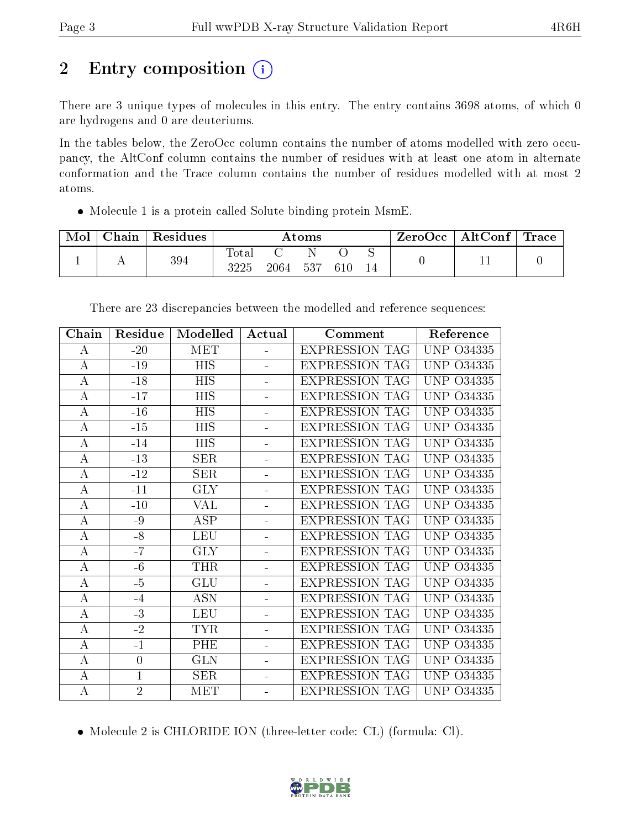# 2 Entry composition (i)

There are 3 unique types of molecules in this entry. The entry contains 3698 atoms, of which 0 are hydrogens and 0 are deuteriums.

In the tables below, the ZeroOcc column contains the number of atoms modelled with zero occupancy, the AltConf column contains the number of residues with at least one atom in alternate conformation and the Trace column contains the number of residues modelled with at most 2 atoms.

Molecule 1 is a protein called Solute binding protein MsmE.

| Mol | Chain | ' Residues | $\rm{Atoms}$        |      |     |     |  | ZeroOcc∣ | $\mid$ AltConf $\mid$ | $\operatorname{Trace}\nolimits$ $\mid$ |
|-----|-------|------------|---------------------|------|-----|-----|--|----------|-----------------------|----------------------------------------|
|     |       | 394        | $\rm Total$<br>3225 | 2064 | 537 | 610 |  |          |                       |                                        |

| Chain            | Residue        | Modelled             | Actual         | Comment               | Reference            |
|------------------|----------------|----------------------|----------------|-----------------------|----------------------|
| А                | $-20$          | <b>MET</b>           |                | <b>EXPRESSION TAG</b> | UNP 034335           |
| $\bf{A}$         | $-19$          | <b>HIS</b>           |                | <b>EXPRESSION TAG</b> | <b>UNP 034335</b>    |
| $\bf{A}$         | $-18$          | <b>HIS</b>           | ÷.             | <b>EXPRESSION TAG</b> | UNP 034335           |
| $\bf{A}$         | $-17$          | <b>HIS</b>           | ÷.             | <b>EXPRESSION TAG</b> | UNP<br>O34335        |
| А                | $-16$          | <b>HIS</b>           | $\blacksquare$ | <b>EXPRESSION TAG</b> | UNP<br>O34335        |
| $\bf{A}$         | $-15$          | HIS                  | ÷              | <b>EXPRESSION TAG</b> | UNP<br>O34335        |
| $\bf{A}$         | $-14$          | <b>HIS</b>           | ÷              | <b>EXPRESSION TAG</b> | UNP<br>O34335        |
| $\bf{A}$         | $-13$          | <b>SER</b>           | ÷,             | <b>EXPRESSION TAG</b> | <b>UNP</b><br>O34335 |
| $\bf{A}$         | $-12$          | <b>SER</b>           | ÷,             | <b>EXPRESSION TAG</b> | UNP 034335           |
| $\boldsymbol{A}$ | $-11$          | <b>GLY</b>           | ÷.             | <b>EXPRESSION TAG</b> | UNP<br>O34335        |
| $\bf{A}$         | $-10$          | VAL                  | ÷,             | <b>EXPRESSION TAG</b> | UNP 034335           |
| А                | -9             | $\operatorname{ASP}$ | ÷.             | <b>EXPRESSION TAG</b> | UNP.<br>O34335       |
| $\bf{A}$         | $-8$           | <b>LEU</b>           |                | <b>EXPRESSION TAG</b> | <b>UNP</b><br>O34335 |
| $\bf{A}$         | $-7$           | <b>GLY</b>           | ÷              | <b>EXPRESSION TAG</b> | <b>UNP</b><br>O34335 |
| $\bf{A}$         | $-6$           | <b>THR</b>           | ÷              | <b>EXPRESSION TAG</b> | UNP<br>O34335        |
| $\bf{A}$         | $-5$           | GLU                  | ÷              | <b>EXPRESSION TAG</b> | UNP<br>O34335        |
| $\bf{A}$         | $-4$           | <b>ASN</b>           | $\equiv$       | <b>EXPRESSION TAG</b> | <b>UNP</b><br>O34335 |
| $\bf{A}$         | $-3$           | <b>LEU</b>           | ÷              | <b>EXPRESSION TAG</b> | UNP 034335           |
| А                | $-2$           | <b>TYR</b>           | $\equiv$       | <b>EXPRESSION TAG</b> | UNP<br>O34335        |
| $\bf{A}$         | $-1$           | PHE                  | ÷.             | <b>EXPRESSION TAG</b> | UNP.<br>O34335       |
| A                | $\overline{0}$ | <b>GLN</b>           |                | <b>EXPRESSION TAG</b> | UNP.<br>O34335       |
| $\bf{A}$         | $\mathbf{1}$   | <b>SER</b>           |                | <b>EXPRESSION TAG</b> | <b>UNP</b><br>O34335 |
| $\boldsymbol{A}$ | $\overline{2}$ | MET                  |                | <b>EXPRESSION TAG</b> | UNP 034335           |

There are 23 discrepancies between the modelled and reference sequences:

Molecule 2 is CHLORIDE ION (three-letter code: CL) (formula: Cl).

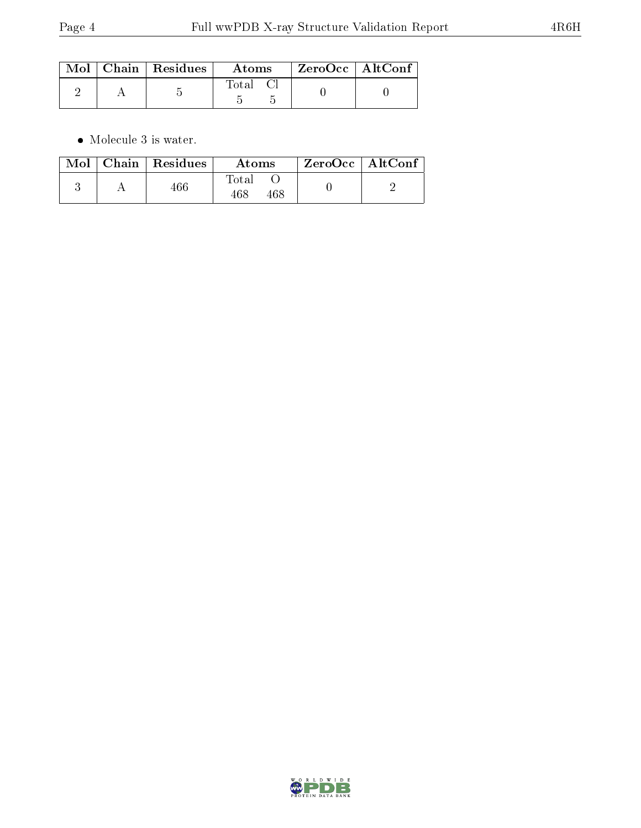|  | $Mol$   Chain   Residues | Atoms | $\rm ZeroOcc$   Alt $\rm Conf$ |  |
|--|--------------------------|-------|--------------------------------|--|
|  |                          | Total |                                |  |

 $\bullet\,$  Molecule 3 is water.

|  | $\text{Mol}$   Chain   Residues | Atoms                | $ZeroOcc \mid AltConf \mid$ |  |
|--|---------------------------------|----------------------|-----------------------------|--|
|  | $466\,$                         | Fotal<br>468<br>468. |                             |  |

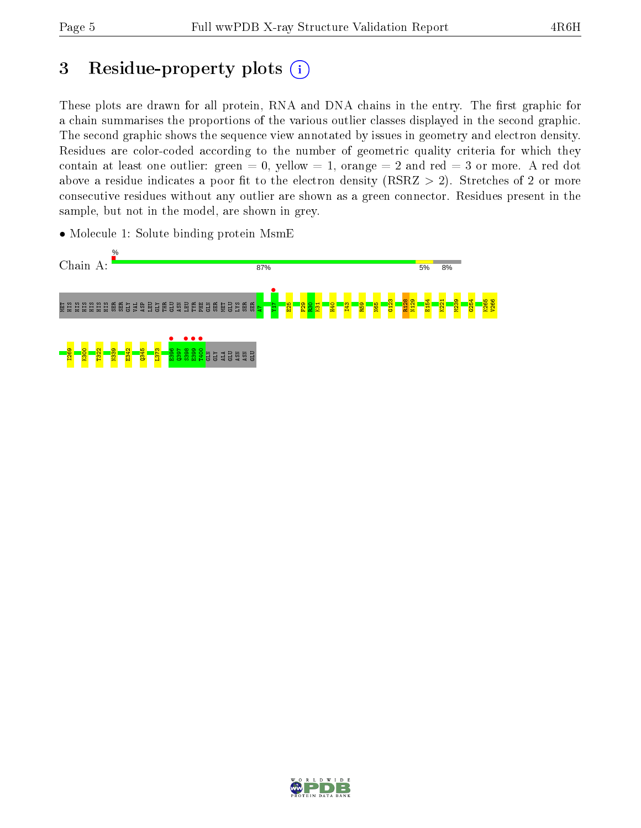# 3 Residue-property plots  $(i)$

These plots are drawn for all protein, RNA and DNA chains in the entry. The first graphic for a chain summarises the proportions of the various outlier classes displayed in the second graphic. The second graphic shows the sequence view annotated by issues in geometry and electron density. Residues are color-coded according to the number of geometric quality criteria for which they contain at least one outlier: green  $= 0$ , yellow  $= 1$ , orange  $= 2$  and red  $= 3$  or more. A red dot above a residue indicates a poor fit to the electron density (RSRZ  $> 2$ ). Stretches of 2 or more consecutive residues without any outlier are shown as a green connector. Residues present in the sample, but not in the model, are shown in grey.

• Molecule 1: Solute binding protein MsmE



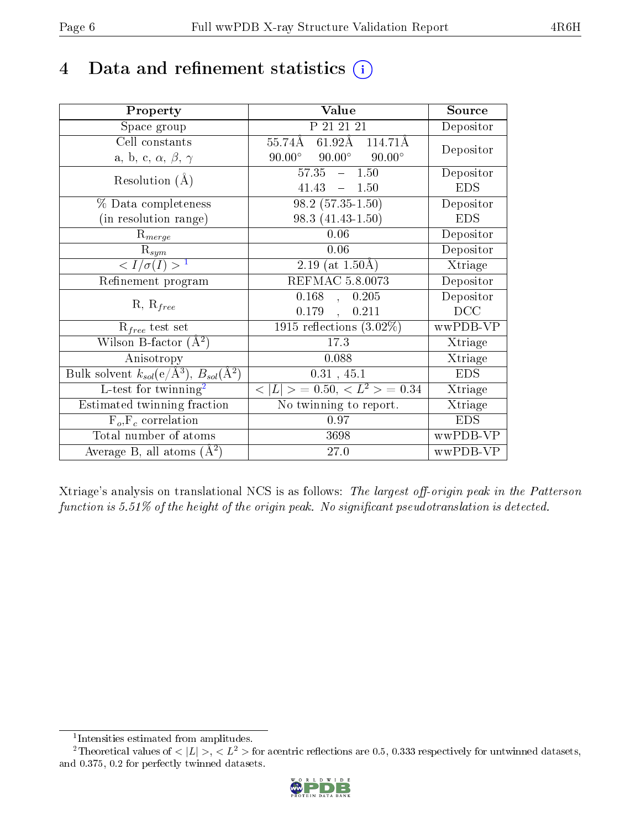# 4 Data and refinement statistics  $(i)$

| Property                                                         | Value                                           | Source     |
|------------------------------------------------------------------|-------------------------------------------------|------------|
| Space group                                                      | P 21 21 21                                      | Depositor  |
| Cell constants                                                   | $61.92\text{\AA}$<br>55.74Å<br>114.71Å          | Depositor  |
| a, b, c, $\alpha$ , $\beta$ , $\gamma$                           | $90.00^\circ$<br>$90.00^\circ$<br>$90.00^\circ$ |            |
| Resolution $(A)$                                                 | $57.35 - 1.50$                                  | Depositor  |
|                                                                  | 41.43<br>$-1.50$                                | <b>EDS</b> |
| % Data completeness                                              | $98.2(57.35-1.50)$                              | Depositor  |
| (in resolution range)                                            | $98.3(41.43-1.50)$                              | <b>EDS</b> |
| $R_{merge}$                                                      | 0.06                                            | Depositor  |
| $\mathrm{R}_{sym}$                                               | 0.06                                            | Depositor  |
| $\langle I/\sigma(I) \rangle^{-1}$                               | 2.19 (at $1.50\text{\AA}$ )                     | Xtriage    |
| Refinement program                                               | REFMAC 5.8.0073                                 | Depositor  |
| $R, R_{free}$                                                    | 0.168<br>0.205<br>$\mathbf{A}$                  | Depositor  |
|                                                                  | 0.179<br>0.211<br>$\ddot{\phantom{a}}$          | DCC        |
| $R_{free}$ test set                                              | $1915$ reflections $(3.02\%)$                   | wwPDB-VP   |
| Wilson B-factor $(A^2)$                                          | 17.3                                            | Xtriage    |
| Anisotropy                                                       | 0.088                                           | Xtriage    |
| Bulk solvent $k_{sol}(\text{e}/\text{A}^3), B_{sol}(\text{A}^2)$ | 0.31, 45.1                                      | <b>EDS</b> |
| $L$ -test for twinning <sup>2</sup>                              | $< L >$ = 0.50, $< L^2 >$ = 0.34                | Xtriage    |
| Estimated twinning fraction                                      | No twinning to report.                          | Xtriage    |
| $F_o, F_c$ correlation                                           | 0.97                                            | <b>EDS</b> |
| Total number of atoms                                            | 3698                                            | wwPDB-VP   |
| Average B, all atoms $(A^2)$                                     | 27.0                                            | wwPDB-VP   |

Xtriage's analysis on translational NCS is as follows: The largest off-origin peak in the Patterson function is  $5.51\%$  of the height of the origin peak. No significant pseudotranslation is detected.

<sup>&</sup>lt;sup>2</sup>Theoretical values of  $\langle |L| \rangle$ ,  $\langle L^2 \rangle$  for acentric reflections are 0.5, 0.333 respectively for untwinned datasets, and 0.375, 0.2 for perfectly twinned datasets.



<span id="page-5-1"></span><span id="page-5-0"></span><sup>1</sup> Intensities estimated from amplitudes.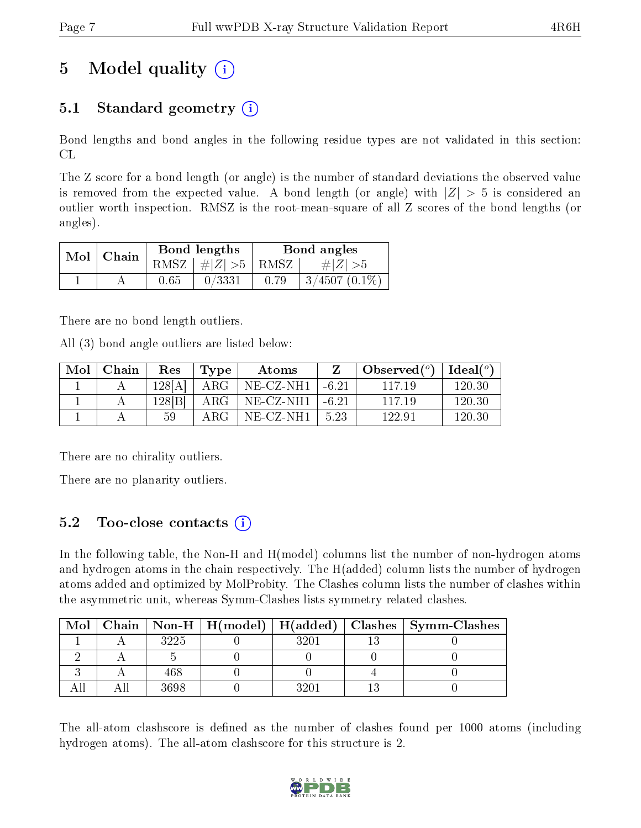# 5 Model quality  $(i)$

## 5.1 Standard geometry  $(i)$

Bond lengths and bond angles in the following residue types are not validated in this section: CL

The Z score for a bond length (or angle) is the number of standard deviations the observed value is removed from the expected value. A bond length (or angle) with  $|Z| > 5$  is considered an outlier worth inspection. RMSZ is the root-mean-square of all Z scores of the bond lengths (or angles).

| $Mol$   Chain |      | Bond lengths                 | Bond angles |                           |  |
|---------------|------|------------------------------|-------------|---------------------------|--|
|               |      | $RMSZ$ $\mid \# Z  > 5$ RMSZ |             | $\# Z  > 5$               |  |
|               | 0.65 | 0/3331                       | 0.79        | $\frac{1}{3}/4507(0.1\%)$ |  |

There are no bond length outliers.

All (3) bond angle outliers are listed below:

| Mol | Chain | Res    | Type       | Atoms        |         | Observed $(°)$ | Ideal (°) |
|-----|-------|--------|------------|--------------|---------|----------------|-----------|
|     |       | 128[A] | $\rm{ARG}$ | NE-CZ-NH1    | $-6.21$ | 117 19         | 120.30    |
|     |       | 128[B] | $\rm{ARG}$ | $NE- CZ-NH1$ | $-6.21$ | 117 19         | 120.30    |
|     |       | 50     | ARG.       | NE-CZ-NH1    | -5.23   | 122.91         | 120.30    |

There are no chirality outliers.

There are no planarity outliers.

### 5.2 Too-close contacts (i)

In the following table, the Non-H and H(model) columns list the number of non-hydrogen atoms and hydrogen atoms in the chain respectively. The H(added) column lists the number of hydrogen atoms added and optimized by MolProbity. The Clashes column lists the number of clashes within the asymmetric unit, whereas Symm-Clashes lists symmetry related clashes.

| Mol |      |      | Chain   Non-H   H(model)   H(added)   Clashes   Symm-Clashes |
|-----|------|------|--------------------------------------------------------------|
|     | 3225 | 32U. |                                                              |
|     |      |      |                                                              |
|     | 468  |      |                                                              |
|     | 3698 | ११०  |                                                              |

The all-atom clashscore is defined as the number of clashes found per 1000 atoms (including hydrogen atoms). The all-atom clashscore for this structure is 2.

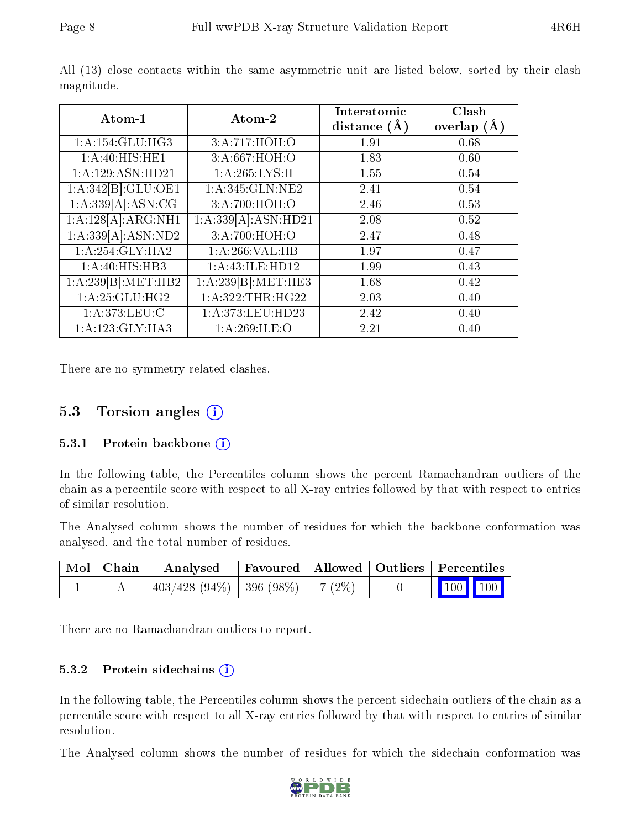| Atom-1             | Atom-2              | Interatomic<br>distance $(A)$ | Clash<br>overlap $(A)$ |
|--------------------|---------------------|-------------------------------|------------------------|
| 1: A:154: GLU:HG3  | 3:A:717:HOH:O       | 1.91                          | 0.68                   |
| 1:A:40:HIS:HE1     | 3:A:667:HOH:O       | 1.83                          | 0.60                   |
| 1:A:129:ASN:HD21   | 1: A:265:LYS:H      | 1.55                          | 0.54                   |
| 1:A:342[B]:GLU:OE1 | 1: A:345: GLN: NE2  | 2.41                          | 0.54                   |
| 1:A:339[A]:ASN:CG  | 3:A:700:HOH:O       | 2.46                          | 0.53                   |
| 1:A:128[A]:ARG:NH1 | 1:A:339[A]:ASN:HD21 | 2.08                          | 0.52                   |
| 1:A:339[A]:ASN:ND2 | 3:A:700:HOH:O       | 2.47                          | 0.48                   |
| 1:A:254:GLY:HA2    | 1:A:266:VAL:HB      | 1.97                          | 0.47                   |
| 1:A:40:HIS:HB3     | 1:A:43:ILE:HD12     | 1.99                          | 0.43                   |
| 1:A:239[B]:MET:HB2 | 1:A:239[B]:MET:HE3  | 1.68                          | 0.42                   |
| 1:A:25:GLU:HG2     | 1:A:322:THR:HG22    | 2.03                          | 0.40                   |
| 1: A:373: LEU: C   | 1:A:373:LEU:HD23    | 2.42                          | 0.40                   |
| 1:A:123:GLY:HA3    | 1:A:269:ILE:O       | 2.21                          | 0.40                   |

All (13) close contacts within the same asymmetric unit are listed below, sorted by their clash magnitude.

There are no symmetry-related clashes.

#### 5.3 Torsion angles  $(i)$

#### 5.3.1 Protein backbone (i)

In the following table, the Percentiles column shows the percent Ramachandran outliers of the chain as a percentile score with respect to all X-ray entries followed by that with respect to entries of similar resolution.

The Analysed column shows the number of residues for which the backbone conformation was analysed, and the total number of residues.

| Mol   Chain | Analysed                                |  | Favoured   Allowed   Outliers   Percentiles                                        |  |
|-------------|-----------------------------------------|--|------------------------------------------------------------------------------------|--|
|             | $403/428$ (94\%)   396 (98\%)   7 (2\%) |  | $\begin{array}{ c c c c c }\n\hline\n\multicolumn{1}{ c }{100} & 100\n\end{array}$ |  |

There are no Ramachandran outliers to report.

#### 5.3.2 Protein sidechains  $(i)$

In the following table, the Percentiles column shows the percent sidechain outliers of the chain as a percentile score with respect to all X-ray entries followed by that with respect to entries of similar resolution.

The Analysed column shows the number of residues for which the sidechain conformation was

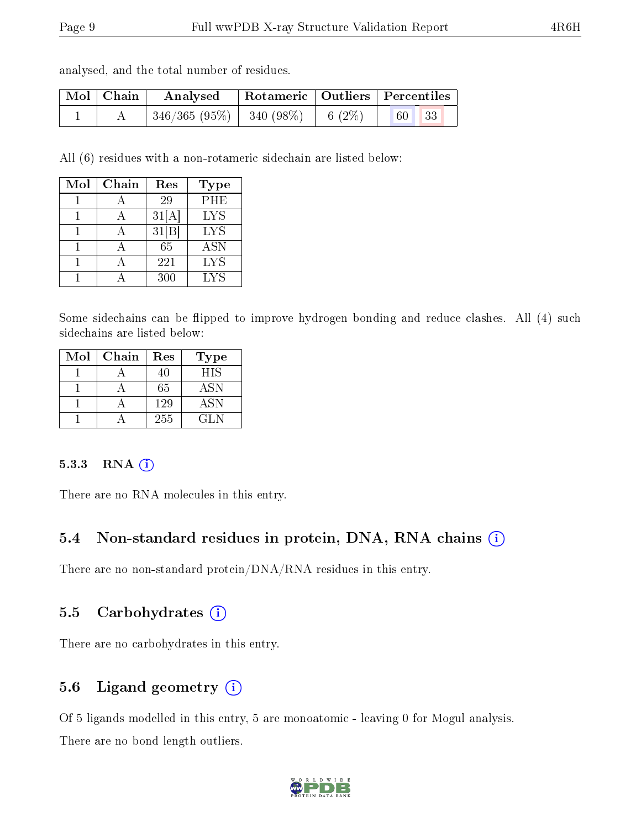| analysed, and the total number of residues. |  |  |  |  |  |  |
|---------------------------------------------|--|--|--|--|--|--|
|---------------------------------------------|--|--|--|--|--|--|

| Mol   Chain | $\boldsymbol{\mathrm{Analysed}}$ | Rotameric   Outliers   Percentiles |           |    |     |  |
|-------------|----------------------------------|------------------------------------|-----------|----|-----|--|
|             | $346/365(95\%)$   340 (98\%)     |                                    | 6 $(2\%)$ | 60 | -33 |  |

All (6) residues with a non-rotameric sidechain are listed below:

| Mol | Chain | Res                | Type       |
|-----|-------|--------------------|------------|
|     |       | 29                 | PHE        |
|     |       | 31[A]              | <b>LYS</b> |
|     |       | $31 \overline{B} $ | <b>LYS</b> |
|     |       | 65                 | <b>ASN</b> |
|     |       | 221                | <b>LYS</b> |
|     |       | 300                | <b>LYS</b> |

Some sidechains can be flipped to improve hydrogen bonding and reduce clashes. All (4) such sidechains are listed below:

| Mol | Chain | Res | Type       |
|-----|-------|-----|------------|
|     |       | 40  | HIS        |
|     |       | 65  | ASN        |
|     |       | 129 | <b>ASN</b> |
|     |       | 255 | GL N       |

#### 5.3.3 RNA [O](https://www.wwpdb.org/validation/2017/XrayValidationReportHelp#rna)i

There are no RNA molecules in this entry.

### 5.4 Non-standard residues in protein, DNA, RNA chains (i)

There are no non-standard protein/DNA/RNA residues in this entry.

#### 5.5 Carbohydrates  $(i)$

There are no carbohydrates in this entry.

### 5.6 Ligand geometry (i)

Of 5 ligands modelled in this entry, 5 are monoatomic - leaving 0 for Mogul analysis. There are no bond length outliers.

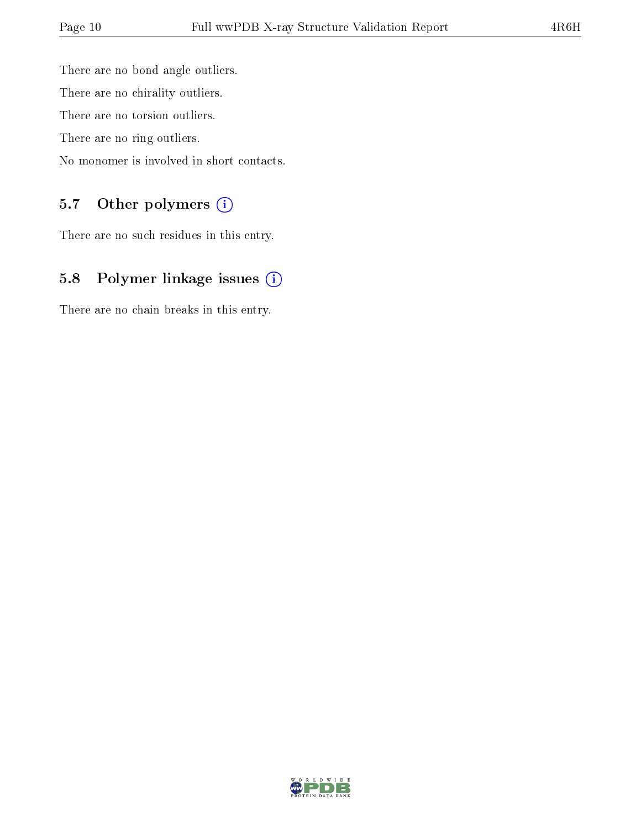There are no bond angle outliers. There are no chirality outliers. There are no torsion outliers. There are no ring outliers. No monomer is involved in short contacts.

### 5.7 [O](https://www.wwpdb.org/validation/2017/XrayValidationReportHelp#nonstandard_residues_and_ligands)ther polymers (i)

There are no such residues in this entry.

## 5.8 Polymer linkage issues (i)

There are no chain breaks in this entry.

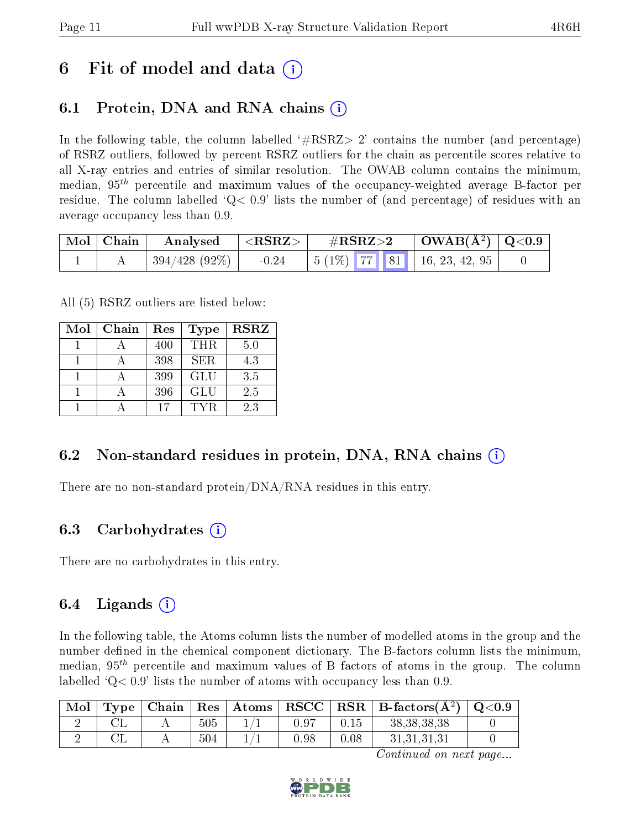## 6 Fit of model and data  $\left( \cdot \right)$

## 6.1 Protein, DNA and RNA chains (i)

In the following table, the column labelled  $#RSRZ>2'$  contains the number (and percentage) of RSRZ outliers, followed by percent RSRZ outliers for the chain as percentile scores relative to all X-ray entries and entries of similar resolution. The OWAB column contains the minimum, median,  $95<sup>th</sup>$  percentile and maximum values of the occupancy-weighted average B-factor per residue. The column labelled  $Q < 0.9$  lists the number of (and percentage) of residues with an average occupancy less than 0.9.

|  | $\mid$ Mol $\mid$ Chain $\mid$ Analysed $\mid$ <rsrz> <math>\mid</math></rsrz> |  |  |  |                                             |  |
|--|--------------------------------------------------------------------------------|--|--|--|---------------------------------------------|--|
|  | 394/428 (92%)                                                                  |  |  |  | $-0.24$   5 (1%)   77   81   16, 23, 42, 95 |  |

All (5) RSRZ outliers are listed below:

| Mol | Chain | Res | <b>Type</b> | <b>RSRZ</b> |
|-----|-------|-----|-------------|-------------|
|     |       | 400 | THR.        | 5.0         |
|     |       | 398 | SER.        | 4.3         |
|     |       | 399 | <b>GLU</b>  | 3.5         |
|     |       | 396 | <b>GLU</b>  | 2.5         |
|     |       | 17  | TYR.        | 2.3         |

### 6.2 Non-standard residues in protein, DNA, RNA chains (i)

There are no non-standard protein/DNA/RNA residues in this entry.

#### 6.3 Carbohydrates (i)

There are no carbohydrates in this entry.

### 6.4 Ligands  $(i)$

In the following table, the Atoms column lists the number of modelled atoms in the group and the number defined in the chemical component dictionary. The B-factors column lists the minimum, median,  $95<sup>th</sup>$  percentile and maximum values of B factors of atoms in the group. The column labelled  $Q< 0.9$ ' lists the number of atoms with occupancy less than 0.9.

| Mol | Type | $\overline{\phantom{a}}$ Chain <sup><math>+</math></sup> | $\mid$ Res $\mid$ | $\mid$ Atoms $\mid$ | $\vert$ RSCC $\vert$ |      | $\mid$ RSR $\mid$ B-factors( $A^2$ ) | $\rm Q\textcolor{black}{<}0.9$ |
|-----|------|----------------------------------------------------------|-------------------|---------------------|----------------------|------|--------------------------------------|--------------------------------|
|     |      |                                                          | 505               |                     | $0.9^{-}$            |      | 38, 38, 38, 38                       |                                |
|     |      |                                                          | 504               |                     | 0.98                 | 0.08 | 31, 31, 31, 31                       |                                |

Continued on next page...